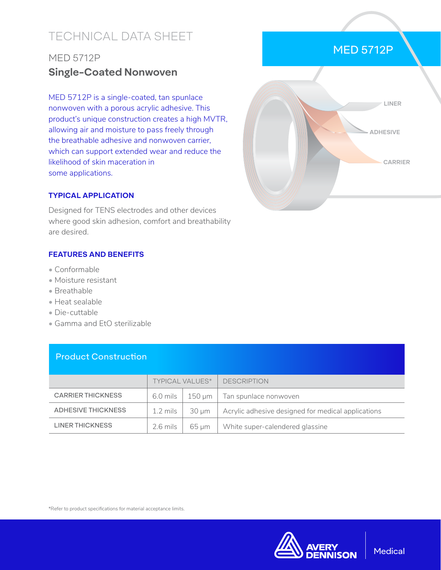# TECHNICAL DATA SHEET

## MED 5712P **Single-Coated Nonwoven**

MED 5712P is a single-coated, tan spunlace nonwoven with a porous acrylic adhesive. This product's unique construction creates a high MVTR, allowing air and moisture to pass freely through the breathable adhesive and nonwoven carrier, which can support extended wear and reduce the likelihood of skin maceration in some applications.

#### **TYPICAL APPLICATION**

Designed for TENS electrodes and other devices where good skin adhesion, comfort and breathability are desired.

### **FEATURES AND BENEFITS**

- Conformable
- Moisture resistant
- Breathable
- Heat sealable
- Die-cuttable
- Gamma and EtO sterilizable

|                          | <b>TYPICAL VALUES*</b> |            | <b>DESCRIPTION</b>                                 |
|--------------------------|------------------------|------------|----------------------------------------------------|
| <b>CARRIER THICKNESS</b> | 6.0 mils               | 150 um     | Tan spunlace nonwoven                              |
| ADHESIVE THICKNESS       | 1.2 mils               | $30 \mu m$ | Acrylic adhesive designed for medical applications |
| <b>LINER THICKNESS</b>   | 2.6 mils               | $65 \mu m$ | White super-calendered glassine                    |

# Product Construction

\*Refer to product specifications for material acceptance limits.



# MED 5712P